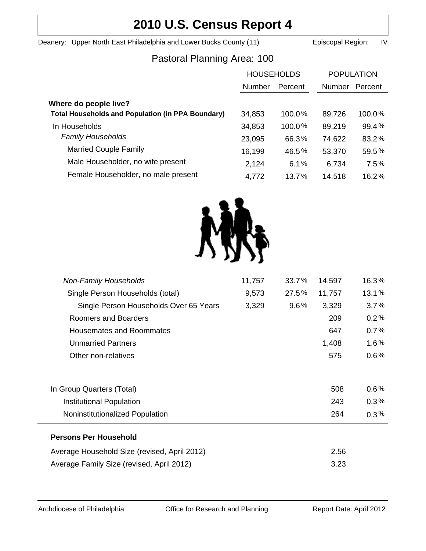# **2010 U.S. Census Report 4**

Deanery: Upper North East Philadelphia and Lower Bucks County (11) Episcopal Region: IV

## Pastoral Planning Area: 100

|                                                          | <b>HOUSEHOLDS</b> |         | <b>POPULATION</b> |         |
|----------------------------------------------------------|-------------------|---------|-------------------|---------|
|                                                          | Number            | Percent | Number            | Percent |
| Where do people live?                                    |                   |         |                   |         |
| <b>Total Households and Population (in PPA Boundary)</b> | 34,853            | 100.0%  | 89,726            | 100.0%  |
| In Households                                            | 34,853            | 100.0%  | 89,219            | 99.4%   |
| <b>Family Households</b>                                 | 23,095            | 66.3%   | 74,622            | 83.2%   |
| <b>Married Couple Family</b>                             | 16,199            | 46.5%   | 53,370            | 59.5%   |
| Male Householder, no wife present                        | 2,124             | 6.1%    | 6,734             | 7.5%    |
| Female Householder, no male present                      | 4,772             | 13.7%   | 14,518            | 16.2%   |



| <b>Non-Family Households</b>                 | 11,757 | 33.7%   | 14,597 | 16.3%   |
|----------------------------------------------|--------|---------|--------|---------|
| Single Person Households (total)             | 9,573  | 27.5%   | 11,757 | 13.1%   |
| Single Person Households Over 65 Years       | 3,329  | $9.6\%$ | 3,329  | 3.7%    |
| Roomers and Boarders                         |        |         | 209    | 0.2%    |
| <b>Housemates and Roommates</b>              |        |         | 647    | 0.7%    |
| <b>Unmarried Partners</b>                    |        |         | 1,408  | 1.6%    |
| Other non-relatives                          |        |         | 575    | $0.6\%$ |
|                                              |        |         |        |         |
| In Group Quarters (Total)                    |        |         | 508    | $0.6\%$ |
| Institutional Population                     |        |         | 243    | $0.3\%$ |
| Noninstitutionalized Population              |        |         | 264    | $0.3\%$ |
| <b>Persons Per Household</b>                 |        |         |        |         |
| Average Household Size (revised, April 2012) |        |         | 2.56   |         |
| Average Family Size (revised, April 2012)    |        |         | 3.23   |         |
|                                              |        |         |        |         |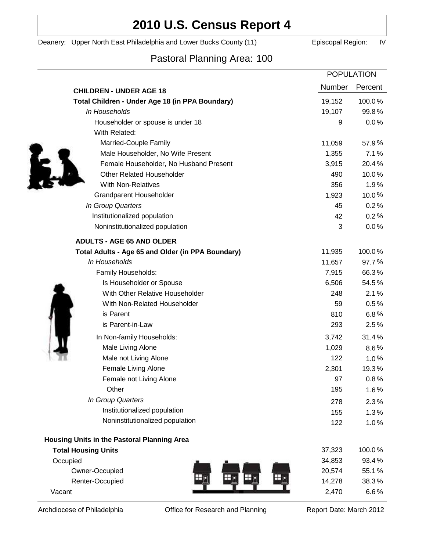## **2010 U.S. Census Report 4**

Deanery: Upper North East Philadelphia and Lower Bucks County (11) Episcopal Region: IV

## Pastoral Planning Area: 100

|                                                   | <b>POPULATION</b> |         |
|---------------------------------------------------|-------------------|---------|
| <b>CHILDREN - UNDER AGE 18</b>                    | Number            | Percent |
| Total Children - Under Age 18 (in PPA Boundary)   | 19,152            | 100.0%  |
| In Households                                     | 19,107            | 99.8%   |
| Householder or spouse is under 18                 | 9                 | 0.0%    |
| With Related:                                     |                   |         |
| Married-Couple Family                             | 11,059            | 57.9%   |
| Male Householder, No Wife Present                 | 1,355             | 7.1%    |
| Female Householder, No Husband Present            | 3,915             | 20.4%   |
| <b>Other Related Householder</b>                  | 490               | 10.0%   |
| <b>With Non-Relatives</b>                         | 356               | 1.9%    |
| Grandparent Householder                           | 1,923             | 10.0%   |
| In Group Quarters                                 | 45                | 0.2%    |
| Institutionalized population                      | 42                | 0.2%    |
| Noninstitutionalized population                   | 3                 | 0.0%    |
| <b>ADULTS - AGE 65 AND OLDER</b>                  |                   |         |
| Total Adults - Age 65 and Older (in PPA Boundary) | 11,935            | 100.0%  |
| In Households                                     | 11,657            | 97.7%   |
| Family Households:                                | 7,915             | 66.3%   |
| Is Householder or Spouse                          | 6,506             | 54.5%   |
| With Other Relative Householder                   | 248               | 2.1%    |
| With Non-Related Householder                      | 59                | 0.5%    |
| is Parent                                         | 810               | 6.8%    |
| is Parent-in-Law                                  | 293               | 2.5%    |
| In Non-family Households:                         | 3,742             | 31.4%   |
| Male Living Alone                                 | 1,029             | $8.6\%$ |
| Male not Living Alone                             | 122               | 1.0%    |
| Female Living Alone                               | 2,301             | 19.3%   |
| Female not Living Alone                           | 97                | 0.8%    |
| Other                                             | 195               | $1.6\%$ |
| In Group Quarters                                 | 278               | 2.3%    |
| Institutionalized population                      | 155               | 1.3%    |
| Noninstitutionalized population                   | 122               | 1.0%    |
| Housing Units in the Pastoral Planning Area       |                   |         |
| <b>Total Housing Units</b>                        | 37,323            | 100.0%  |
| Occupied                                          | 34,853            | 93.4%   |
| Owner-Occupied                                    | 20,574            | 55.1%   |
| Renter-Occupied                                   | 14,278            | 38.3%   |
| Vacant                                            | 2,470             | 6.6%    |

Archdiocese of Philadelphia **Office for Research and Planning** Report Date: March 2012